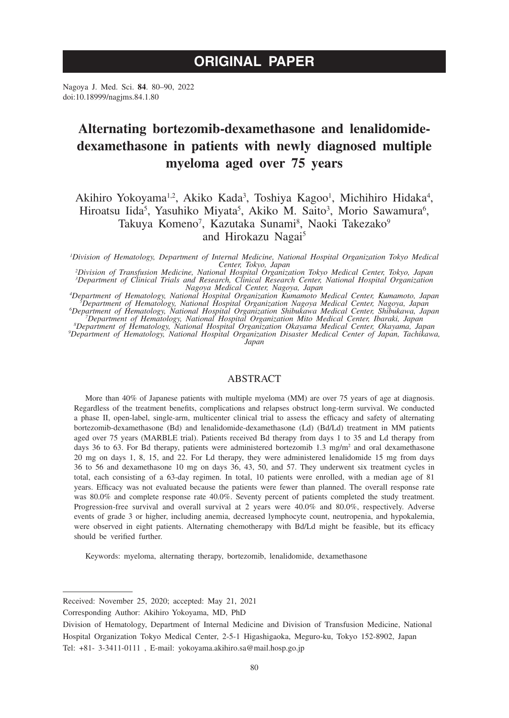# **ORIGINAL PAPER**

Nagoya J. Med. Sci. **84**. 80–90, 2022 doi:10.18999/nagjms.84.1.80

# **Alternating bortezomib-dexamethasone and lenalidomidedexamethasone in patients with newly diagnosed multiple myeloma aged over 75 years**

Akihiro Yokoyama<sup>1,2</sup>, Akiko Kada<sup>3</sup>, Toshiya Kagoo<sup>1</sup>, Michihiro Hidaka<sup>4</sup>, Hiroatsu Iida<sup>5</sup>, Yasuhiko Miyata<sup>5</sup>, Akiko M. Saito<sup>3</sup>, Morio Sawamura<sup>6</sup>, Takuya Komeno<sup>7</sup>, Kazutaka Sunami<sup>8</sup>, Naoki Takezako<sup>9</sup> and Hirokazu Nagai<sup>5</sup>

*1 Division of Hematology, Department of Internal Medicine, National Hospital Organization Tokyo Medical* 

Center, Tokyo, Japan<br>
<sup>2</sup>Division of Transfusion Medicine, National Hospital Organization Tokyo Medical Center, Tokyo, Japan<sup>3</sup><br>
<sup>2</sup>Department of Clinical Trials and Research, Clinical Research Center, National Hospital Or

*A Pepartment of Hematology, National Hospital Organization Kumamoto Medical Center, Kumamoto, Japan*<br><sup>2</sup> Department of Hematology, National Hospital Organization Nagoya Medical Center, Nagoya, Japan<br><sup>2</sup> Department of Hema

*Department of Hematology, National Hospital Organization Disaster Medical Center of Japan, Tachikawa, Japan*

# ABSTRACT

More than 40% of Japanese patients with multiple myeloma (MM) are over 75 years of age at diagnosis. Regardless of the treatment benefits, complications and relapses obstruct long-term survival. We conducted a phase II, open-label, single-arm, multicenter clinical trial to assess the efficacy and safety of alternating bortezomib-dexamethasone (Bd) and lenalidomide-dexamethasone (Ld) (Bd/Ld) treatment in MM patients aged over 75 years (MARBLE trial). Patients received Bd therapy from days 1 to 35 and Ld therapy from days 36 to 63. For Bd therapy, patients were administered bortezomib 1.3 mg/m<sup>2</sup> and oral dexamethasone 20 mg on days 1, 8, 15, and 22. For Ld therapy, they were administered lenalidomide 15 mg from days 36 to 56 and dexamethasone 10 mg on days 36, 43, 50, and 57. They underwent six treatment cycles in total, each consisting of a 63-day regimen. In total, 10 patients were enrolled, with a median age of 81 years. Efficacy was not evaluated because the patients were fewer than planned. The overall response rate was 80.0% and complete response rate 40.0%. Seventy percent of patients completed the study treatment. Progression-free survival and overall survival at 2 years were 40.0% and 80.0%, respectively. Adverse events of grade 3 or higher, including anemia, decreased lymphocyte count, neutropenia, and hypokalemia, were observed in eight patients. Alternating chemotherapy with Bd/Ld might be feasible, but its efficacy should be verified further.

Keywords: myeloma, alternating therapy, bortezomib, lenalidomide, dexamethasone

Received: November 25, 2020; accepted: May 21, 2021

Corresponding Author: Akihiro Yokoyama, MD, PhD

Division of Hematology, Department of Internal Medicine and Division of Transfusion Medicine, National Hospital Organization Tokyo Medical Center, 2-5-1 Higashigaoka, Meguro-ku, Tokyo 152-8902, Japan Tel: +81- 3-3411-0111 , E-mail: yokoyama.akihiro.sa@mail.hosp.go.jp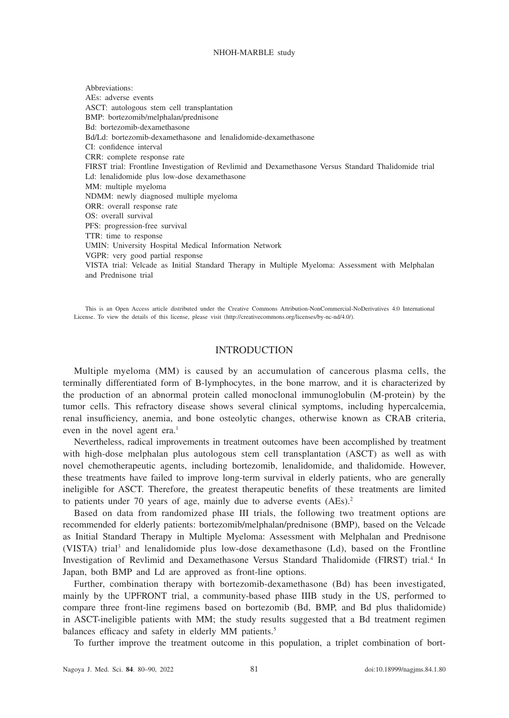Abbreviations: AEs: adverse events ASCT: autologous stem cell transplantation BMP: bortezomib/melphalan/prednisone Bd: bortezomib-dexamethasone Bd/Ld: bortezomib-dexamethasone and lenalidomide-dexamethasone CI: confidence interval CRR: complete response rate FIRST trial: Frontline Investigation of Revlimid and Dexamethasone Versus Standard Thalidomide trial Ld: lenalidomide plus low-dose dexamethasone MM: multiple myeloma NDMM: newly diagnosed multiple myeloma ORR: overall response rate OS: overall survival PFS: progression-free survival TTR: time to response UMIN: University Hospital Medical Information Network VGPR: very good partial response VISTA trial: Velcade as Initial Standard Therapy in Multiple Myeloma: Assessment with Melphalan and Prednisone trial

This is an Open Access article distributed under the Creative Commons Attribution-NonCommercial-NoDerivatives 4.0 International License. To view the details of this license, please visit (http://creativecommons.org/licenses/by-nc-nd/4.0/).

# **INTRODUCTION**

Multiple myeloma (MM) is caused by an accumulation of cancerous plasma cells, the terminally differentiated form of B-lymphocytes, in the bone marrow, and it is characterized by the production of an abnormal protein called monoclonal immunoglobulin (M-protein) by the tumor cells. This refractory disease shows several clinical symptoms, including hypercalcemia, renal insufficiency, anemia, and bone osteolytic changes, otherwise known as CRAB criteria, even in the novel agent era.<sup>1</sup>

Nevertheless, radical improvements in treatment outcomes have been accomplished by treatment with high-dose melphalan plus autologous stem cell transplantation (ASCT) as well as with novel chemotherapeutic agents, including bortezomib, lenalidomide, and thalidomide. However, these treatments have failed to improve long-term survival in elderly patients, who are generally ineligible for ASCT. Therefore, the greatest therapeutic benefits of these treatments are limited to patients under 70 years of age, mainly due to adverse events (AEs).<sup>2</sup>

Based on data from randomized phase III trials, the following two treatment options are recommended for elderly patients: bortezomib/melphalan/prednisone (BMP), based on the Velcade as Initial Standard Therapy in Multiple Myeloma: Assessment with Melphalan and Prednisone (VISTA) trial<sup>3</sup> and lenalidomide plus low-dose dexamethasone (Ld), based on the Frontline Investigation of Revlimid and Dexamethasone Versus Standard Thalidomide (FIRST) trial.<sup>4</sup> In Japan, both BMP and Ld are approved as front-line options.

Further, combination therapy with bortezomib-dexamethasone (Bd) has been investigated, mainly by the UPFRONT trial, a community-based phase IIIB study in the US, performed to compare three front-line regimens based on bortezomib (Bd, BMP, and Bd plus thalidomide) in ASCT-ineligible patients with MM; the study results suggested that a Bd treatment regimen balances efficacy and safety in elderly MM patients.<sup>5</sup>

To further improve the treatment outcome in this population, a triplet combination of bort-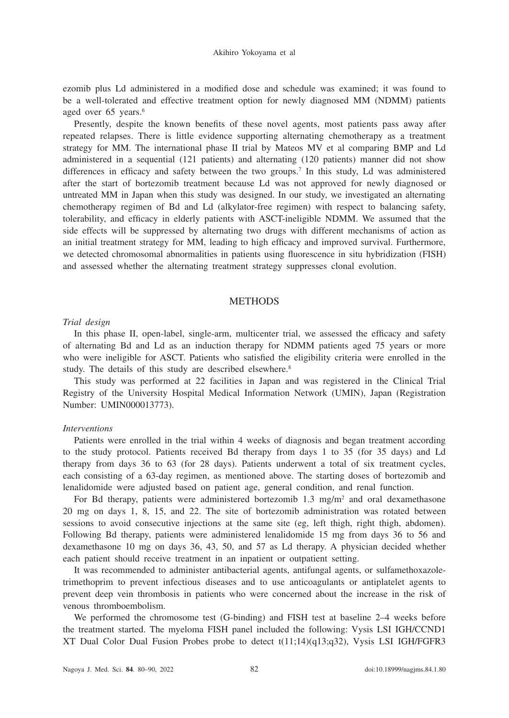ezomib plus Ld administered in a modified dose and schedule was examined; it was found to be a well-tolerated and effective treatment option for newly diagnosed MM (NDMM) patients aged over 65 years.<sup>6</sup>

Presently, despite the known benefits of these novel agents, most patients pass away after repeated relapses. There is little evidence supporting alternating chemotherapy as a treatment strategy for MM. The international phase II trial by Mateos MV et al comparing BMP and Ld administered in a sequential (121 patients) and alternating (120 patients) manner did not show differences in efficacy and safety between the two groups.7 In this study, Ld was administered after the start of bortezomib treatment because Ld was not approved for newly diagnosed or untreated MM in Japan when this study was designed. In our study, we investigated an alternating chemotherapy regimen of Bd and Ld (alkylator-free regimen) with respect to balancing safety, tolerability, and efficacy in elderly patients with ASCT-ineligible NDMM. We assumed that the side effects will be suppressed by alternating two drugs with different mechanisms of action as an initial treatment strategy for MM, leading to high efficacy and improved survival. Furthermore, we detected chromosomal abnormalities in patients using fluorescence in situ hybridization (FISH) and assessed whether the alternating treatment strategy suppresses clonal evolution.

## **METHODS**

#### *Trial design*

In this phase II, open-label, single-arm, multicenter trial, we assessed the efficacy and safety of alternating Bd and Ld as an induction therapy for NDMM patients aged 75 years or more who were ineligible for ASCT. Patients who satisfied the eligibility criteria were enrolled in the study. The details of this study are described elsewhere.<sup>8</sup>

This study was performed at 22 facilities in Japan and was registered in the Clinical Trial Registry of the University Hospital Medical Information Network (UMIN), Japan (Registration Number: UMIN000013773).

#### *Interventions*

Patients were enrolled in the trial within 4 weeks of diagnosis and began treatment according to the study protocol. Patients received Bd therapy from days 1 to 35 (for 35 days) and Ld therapy from days 36 to 63 (for 28 days). Patients underwent a total of six treatment cycles, each consisting of a 63-day regimen, as mentioned above. The starting doses of bortezomib and lenalidomide were adjusted based on patient age, general condition, and renal function.

For Bd therapy, patients were administered bortezomib 1.3 mg/m<sup>2</sup> and oral dexamethasone 20 mg on days 1, 8, 15, and 22. The site of bortezomib administration was rotated between sessions to avoid consecutive injections at the same site (eg, left thigh, right thigh, abdomen). Following Bd therapy, patients were administered lenalidomide 15 mg from days 36 to 56 and dexamethasone 10 mg on days 36, 43, 50, and 57 as Ld therapy. A physician decided whether each patient should receive treatment in an inpatient or outpatient setting.

It was recommended to administer antibacterial agents, antifungal agents, or sulfamethoxazoletrimethoprim to prevent infectious diseases and to use anticoagulants or antiplatelet agents to prevent deep vein thrombosis in patients who were concerned about the increase in the risk of venous thromboembolism.

We performed the chromosome test (G-binding) and FISH test at baseline 2–4 weeks before the treatment started. The myeloma FISH panel included the following: Vysis LSI IGH/CCND1 XT Dual Color Dual Fusion Probes probe to detect t(11;14)(q13;q32), Vysis LSI IGH/FGFR3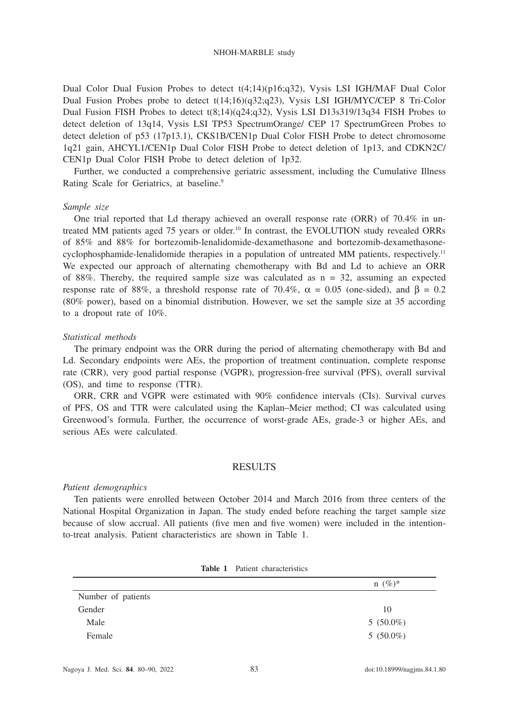Dual Color Dual Fusion Probes to detect t(4;14)(p16;q32), Vysis LSI IGH/MAF Dual Color Dual Fusion Probes probe to detect t(14;16)(q32;q23), Vysis LSI IGH/MYC/CEP 8 Tri-Color Dual Fusion FISH Probes to detect t(8;14)(q24;q32), Vysis LSI D13s319/13q34 FISH Probes to detect deletion of 13q14, Vysis LSI TP53 SpectrumOrange/ CEP 17 SpectrumGreen Probes to detect deletion of p53 (17p13.1), CKS1B/CEN1p Dual Color FISH Probe to detect chromosome 1q21 gain, AHCYL1/CEN1p Dual Color FISH Probe to detect deletion of 1p13, and CDKN2C/ CEN1p Dual Color FISH Probe to detect deletion of 1p32.

Further, we conducted a comprehensive geriatric assessment, including the Cumulative Illness Rating Scale for Geriatrics, at baseline.<sup>9</sup>

## *Sample size*

One trial reported that Ld therapy achieved an overall response rate (ORR) of 70.4% in untreated MM patients aged 75 years or older.10 In contrast, the EVOLUTION study revealed ORRs of 85% and 88% for bortezomib-lenalidomide-dexamethasone and bortezomib-dexamethasonecyclophosphamide-lenalidomide therapies in a population of untreated MM patients, respectively.11 We expected our approach of alternating chemotherapy with Bd and Ld to achieve an ORR of 88%. Thereby, the required sample size was calculated as  $n = 32$ , assuming an expected response rate of 88%, a threshold response rate of 70.4%,  $\alpha = 0.05$  (one-sided), and  $\beta = 0.2$ (80% power), based on a binomial distribution. However, we set the sample size at 35 according to a dropout rate of 10%.

#### *Statistical methods*

The primary endpoint was the ORR during the period of alternating chemotherapy with Bd and Ld. Secondary endpoints were AEs, the proportion of treatment continuation, complete response rate (CRR), very good partial response (VGPR), progression-free survival (PFS), overall survival (OS), and time to response (TTR).

ORR, CRR and VGPR were estimated with 90% confidence intervals (CIs). Survival curves of PFS, OS and TTR were calculated using the Kaplan–Meier method; CI was calculated using Greenwood's formula. Further, the occurrence of worst-grade AEs, grade-3 or higher AEs, and serious AEs were calculated.

## RESULTS

#### *Patient demographics*

Ten patients were enrolled between October 2014 and March 2016 from three centers of the National Hospital Organization in Japan. The study ended before reaching the target sample size because of slow accrual. All patients (five men and five women) were included in the intentionto-treat analysis. Patient characteristics are shown in Table 1.

|                    | $n \ (\%)^*$ |
|--------------------|--------------|
| Number of patients |              |
| Gender             | 10           |
| Male               | $5(50.0\%)$  |
| Female             | $5(50.0\%)$  |

| <b>Table 1</b> Patient characteristics |
|----------------------------------------|
|                                        |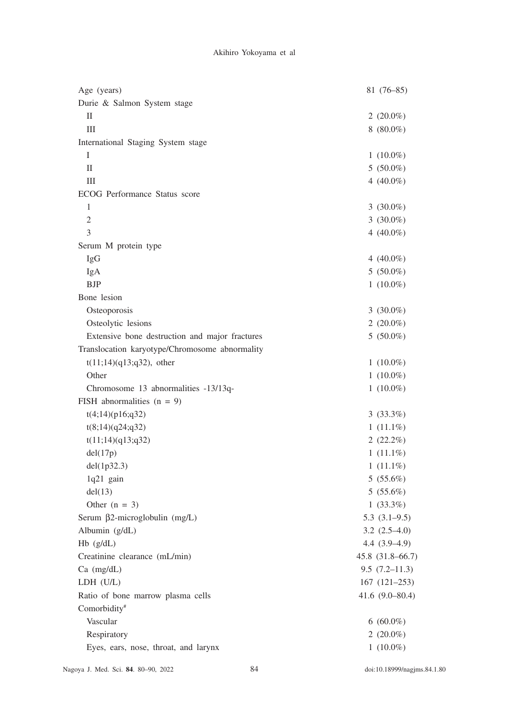| Age (years)                                    | $81(76-85)$         |
|------------------------------------------------|---------------------|
| Durie & Salmon System stage                    |                     |
| П                                              | 2 $(20.0\%)$        |
| Ш                                              | $8(80.0\%)$         |
| International Staging System stage             |                     |
| Ι                                              | $1(10.0\%)$         |
| П                                              | $5(50.0\%)$         |
| Ш                                              | 4 $(40.0\%)$        |
| ECOG Performance Status score                  |                     |
| 1                                              | 3 $(30.0\%)$        |
| $\mathfrak{2}$                                 | 3 $(30.0\%)$        |
| 3                                              | 4 $(40.0\%)$        |
| Serum M protein type                           |                     |
| IgG                                            | 4 $(40.0\%)$        |
| IgA                                            | $5(50.0\%)$         |
| <b>BJP</b>                                     | $1(10.0\%)$         |
| Bone lesion                                    |                     |
| Osteoporosis                                   | 3 $(30.0\%)$        |
| Osteolytic lesions                             | 2 $(20.0\%)$        |
| Extensive bone destruction and major fractures | $5(50.0\%)$         |
| Translocation karyotype/Chromosome abnormality |                     |
| $t(11; 14)(q13; q32)$ , other                  | $1(10.0\%)$         |
| Other                                          | $1(10.0\%)$         |
| Chromosome 13 abnormalities -13/13q-           | $1(10.0\%)$         |
| FISH abnormalities $(n = 9)$                   |                     |
| t(4;14)(p16;q32)                               | 3(33.3%)            |
| t(8;14)(q24;q32)                               | $1(11.1\%)$         |
| t(11; 14)(q13; q32)                            | $2(22.2\%)$         |
| del(17p)                                       | $1(11.1\%)$         |
| del(1p32.3)                                    | $1(11.1\%)$         |
| 1q21 gain                                      | 5(55.6%)            |
| del(13)                                        | $5(55.6\%)$         |
| Other $(n = 3)$                                | $1(33.3\%)$         |
| Serum $\beta$ 2-microglobulin (mg/L)           | $5.3(3.1-9.5)$      |
| Albumin (g/dL)                                 | $3.2(2.5-4.0)$      |
| $Hb$ ( $g/dL$ )                                | $4.4(3.9-4.9)$      |
| Creatinine clearance (mL/min)                  | 45.8 (31.8–66.7)    |
| $Ca$ (mg/dL)                                   | $9.5(7.2-11.3)$     |
| LDH (U/L)                                      | $167(121-253)$      |
| Ratio of bone marrow plasma cells              | 41.6 $(9.0 - 80.4)$ |
| Comorbidity#                                   |                     |
| Vascular                                       | $6(60.0\%)$         |
| Respiratory                                    | 2 $(20.0\%)$        |
| Eyes, ears, nose, throat, and larynx           | 1 $(10.0\%)$        |
|                                                |                     |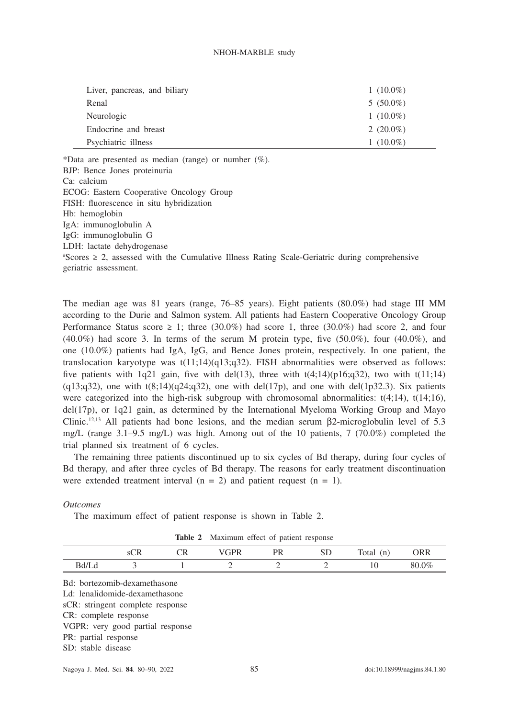| Liver, pancreas, and biliary | $1(10.0\%)$  |
|------------------------------|--------------|
| Renal                        | $5(50.0\%)$  |
| Neurologic                   | $1(10.0\%)$  |
| Endocrine and breast         | 2 $(20.0\%)$ |
| Psychiatric illness          | $1(10.0\%)$  |

\*Data are presented as median (range) or number  $(\%)$ . BJP: Bence Jones proteinuria Ca: calcium ECOG: Eastern Cooperative Oncology Group FISH: fluorescence in situ hybridization Hb: hemoglobin IgA: immunoglobulin A IgG: immunoglobulin G LDH: lactate dehydrogenase # Scores ≥ 2, assessed with the Cumulative Illness Rating Scale-Geriatric during comprehensive

geriatric assessment.

The median age was 81 years (range, 76–85 years). Eight patients (80.0%) had stage III MM according to the Durie and Salmon system. All patients had Eastern Cooperative Oncology Group Performance Status score  $\geq 1$ ; three (30.0%) had score 1, three (30.0%) had score 2, and four  $(40.0\%)$  had score 3. In terms of the serum M protein type, five  $(50.0\%)$ , four  $(40.0\%)$ , and one (10.0%) patients had IgA, IgG, and Bence Jones protein, respectively. In one patient, the translocation karyotype was  $t(11;14)(q13;q32)$ . FISH abnormalities were observed as follows: five patients with 1q21 gain, five with del(13), three with  $t(4;14)(p16;q32)$ , two with  $t(11;14)$  $(q13;q32)$ , one with t $(8;14)(q24;q32)$ , one with del(17p), and one with del(1p32.3). Six patients were categorized into the high-risk subgroup with chromosomal abnormalities:  $t(4;14)$ ,  $t(14;16)$ ,  $del(17p)$ , or 1q21 gain, as determined by the International Myeloma Working Group and Mayo Clinic.<sup>12,13</sup> All patients had bone lesions, and the median serum  $\beta$ 2-microglobulin level of 5.3 mg/L (range 3.1–9.5 mg/L) was high. Among out of the 10 patients, 7 (70.0%) completed the trial planned six treatment of 6 cycles.

The remaining three patients discontinued up to six cycles of Bd therapy, during four cycles of Bd therapy, and after three cycles of Bd therapy. The reasons for early treatment discontinuation were extended treatment interval  $(n = 2)$  and patient request  $(n = 1)$ .

## *Outcomes*

The maximum effect of patient response is shown in Table 2.

**Table 2** Maximum effect of patient response

|                                                                                                    | SCR | <b>CR</b> | VGPR | <b>PR</b> | <b>SD</b>                     | Total $(n)$ | <b>ORR</b> |
|----------------------------------------------------------------------------------------------------|-----|-----------|------|-----------|-------------------------------|-------------|------------|
| Bd/Ld                                                                                              | 3   |           | 2    | 2         | $\mathfrak{D}_{\mathfrak{p}}$ | 10          | 80.0%      |
| Bd: bortezomib-dexamethasone<br>Ld: lenalidomide-dexamethasone<br>sCR: stringent complete response |     |           |      |           |                               |             |            |
| CR: complete response                                                                              |     |           |      |           |                               |             |            |
| VGPR: very good partial response                                                                   |     |           |      |           |                               |             |            |
| PR: partial response                                                                               |     |           |      |           |                               |             |            |
| SD: stable disease                                                                                 |     |           |      |           |                               |             |            |
|                                                                                                    |     |           |      |           |                               |             |            |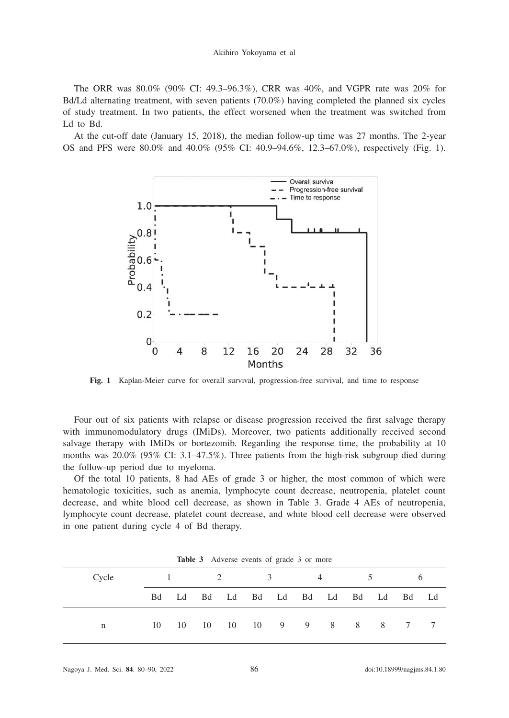Akihiro Yokoyama et al

The ORR was 80.0% (90% CI: 49.3–96.3%), CRR was 40%, and VGPR rate was 20% for Bd/Ld alternating treatment, with seven patients (70.0%) having completed the planned six cycles of study treatment. In two patients, the effect worsened when the treatment was switched from Ld to Bd.

At the cut-off date (January 15, 2018), the median follow-up time was 27 months. The 2-year OS and PFS were 80.0% and 40.0% (95% CI: 40.9–94.6%, 12.3–67.0%), respectively (Fig. 1).



**Fig. 1** Kaplan-Meier curve for overall survival, progression-free survival, and time to response

Four out of six patients with relapse or disease progression received the first salvage therapy with immunomodulatory drugs (IMiDs). Moreover, two patients additionally received second salvage therapy with IMiDs or bortezomib. Regarding the response time, the probability at 10 months was 20.0% (95% CI: 3.1–47.5%). Three patients from the high-risk subgroup died during the follow-up period due to myeloma.

Of the total 10 patients, 8 had AEs of grade 3 or higher, the most common of which were hematologic toxicities, such as anemia, lymphocyte count decrease, neutropenia, platelet count decrease, and white blood cell decrease, as shown in Table 3. Grade 4 AEs of neutropenia, lymphocyte count decrease, platelet count decrease, and white blood cell decrease were observed in one patient during cycle 4 of Bd therapy.

| <b>Table 3</b> Adverse events of grade 3 of filore |      |  |                                     |  |                                  |  |          |  |             |  |  |  |
|----------------------------------------------------|------|--|-------------------------------------|--|----------------------------------|--|----------|--|-------------|--|--|--|
| Cycle                                              |      |  | $1 \qquad \qquad 2 \qquad \qquad 3$ |  |                                  |  | $\sim$ 4 |  | $5^{\circ}$ |  |  |  |
|                                                    | Bd - |  |                                     |  | Ld Bd Ld Bd Ld Bd Ld Bd Ld Bd Ld |  |          |  |             |  |  |  |
|                                                    | 10   |  |                                     |  | 10 10 10 10 9 9 8 8 8 7 7        |  |          |  |             |  |  |  |

Table 3 Adverse events of grade 3 or mo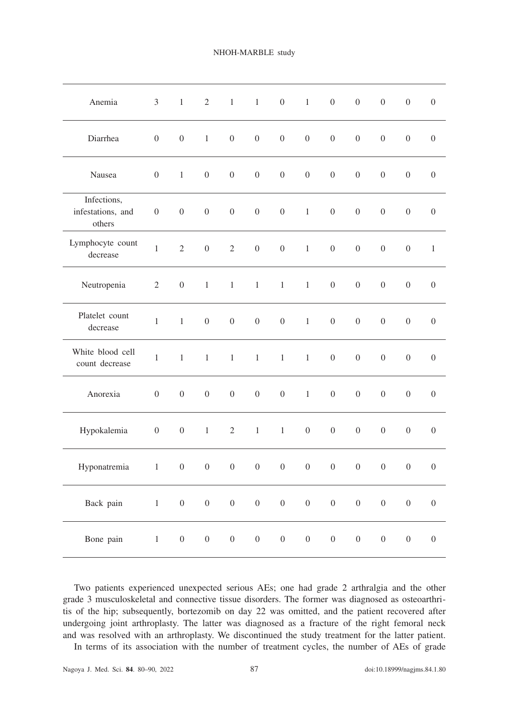| Anemia                                     | $\mathfrak{Z}$   | $1 -$            | $\overline{2}$   |                  | $1\qquad1$       | $\overline{0}$   | $\mathbf{1}$     | $\boldsymbol{0}$ | $\boldsymbol{0}$ | $\boldsymbol{0}$ | $\boldsymbol{0}$ | $\boldsymbol{0}$ |
|--------------------------------------------|------------------|------------------|------------------|------------------|------------------|------------------|------------------|------------------|------------------|------------------|------------------|------------------|
| Diarrhea                                   | $\boldsymbol{0}$ | $\boldsymbol{0}$ | $\,1$            | $\boldsymbol{0}$ | $\boldsymbol{0}$ | $\boldsymbol{0}$ | $\boldsymbol{0}$ | $\boldsymbol{0}$ | $\boldsymbol{0}$ | $\boldsymbol{0}$ | $\boldsymbol{0}$ | $\boldsymbol{0}$ |
| Nausea                                     | $\boldsymbol{0}$ | $\,1\,$          | $\boldsymbol{0}$ | $\boldsymbol{0}$ | $\boldsymbol{0}$ | $\boldsymbol{0}$ | $\boldsymbol{0}$ | $\boldsymbol{0}$ | $\boldsymbol{0}$ | $\boldsymbol{0}$ | $\boldsymbol{0}$ | $\boldsymbol{0}$ |
| Infections,<br>infestations, and<br>others | $\boldsymbol{0}$ | $\boldsymbol{0}$ | $\boldsymbol{0}$ | $\boldsymbol{0}$ | $\boldsymbol{0}$ | $\boldsymbol{0}$ | $\,1$            | $\boldsymbol{0}$ | $\boldsymbol{0}$ | $\boldsymbol{0}$ | $\boldsymbol{0}$ | $\boldsymbol{0}$ |
| Lymphocyte count<br>decrease               | $\mathbf{1}$     | $\overline{2}$   | $\overline{0}$   | $\overline{2}$   | $\boldsymbol{0}$ | $\boldsymbol{0}$ | $\mathbf{1}$     | $\boldsymbol{0}$ | $\boldsymbol{0}$ | $\boldsymbol{0}$ | $\boldsymbol{0}$ | $\,1\,$          |
| Neutropenia                                | $\overline{2}$   | $\boldsymbol{0}$ | $\,1\,$          | $\,1$            | $\,1\,$          | $\,1$            | $\,1$            | $\boldsymbol{0}$ | $\boldsymbol{0}$ | $\boldsymbol{0}$ | $\boldsymbol{0}$ | $\boldsymbol{0}$ |
| Platelet count<br>decrease                 | $\mathbf{1}$     | $\,1$            | $\boldsymbol{0}$ | $\boldsymbol{0}$ | $\boldsymbol{0}$ | $\boldsymbol{0}$ | $1\,$            | $\boldsymbol{0}$ | $\boldsymbol{0}$ | $\boldsymbol{0}$ | $\boldsymbol{0}$ | $\boldsymbol{0}$ |
| White blood cell<br>count decrease         | $1\,$            | $\,1$            | $\,1\,$          | $\,1$            | $\,1\,$          | $1\,$            | $\,1$            | $\boldsymbol{0}$ | $\boldsymbol{0}$ | $\boldsymbol{0}$ | $\boldsymbol{0}$ | $\mathbf{0}$     |
| Anorexia                                   | $\mathbf{0}$     | $\boldsymbol{0}$ | $\boldsymbol{0}$ | $\boldsymbol{0}$ | $\overline{0}$   | $\overline{0}$   | $\mathbf{1}$     | $\overline{0}$   | $\theta$         | $\boldsymbol{0}$ | $\boldsymbol{0}$ | $\boldsymbol{0}$ |
| Hypokalemia                                | $\overline{0}$   | $\mathbf{0}$     | $\mathbf{1}$     | $\mathbf{2}$     | $\,1$            | $\mathbf{1}$     | $\overline{0}$   | $\boldsymbol{0}$ | $\boldsymbol{0}$ | $\boldsymbol{0}$ | $\boldsymbol{0}$ | $\boldsymbol{0}$ |
| Hyponatremia                               | $\mathbf{1}$     | $\boldsymbol{0}$ | $\boldsymbol{0}$ | $\boldsymbol{0}$ | $\boldsymbol{0}$ | $\boldsymbol{0}$ | $\boldsymbol{0}$ | $\boldsymbol{0}$ | $\boldsymbol{0}$ | $\boldsymbol{0}$ | $\boldsymbol{0}$ | $\boldsymbol{0}$ |
| Back pain                                  | $\,1$            | $\boldsymbol{0}$ | $\boldsymbol{0}$ | $\boldsymbol{0}$ | $\boldsymbol{0}$ | $\boldsymbol{0}$ | $\boldsymbol{0}$ | $\boldsymbol{0}$ | $\boldsymbol{0}$ | $\boldsymbol{0}$ | $\boldsymbol{0}$ | $\boldsymbol{0}$ |
| Bone pain                                  | $\,1\,$          | $\boldsymbol{0}$ | $\boldsymbol{0}$ | $\boldsymbol{0}$ | $\boldsymbol{0}$ | $\boldsymbol{0}$ | $\boldsymbol{0}$ | $\boldsymbol{0}$ | $\boldsymbol{0}$ | $\boldsymbol{0}$ | $\boldsymbol{0}$ | $\boldsymbol{0}$ |

Two patients experienced unexpected serious AEs; one had grade 2 arthralgia and the other grade 3 musculoskeletal and connective tissue disorders. The former was diagnosed as osteoarthritis of the hip; subsequently, bortezomib on day 22 was omitted, and the patient recovered after undergoing joint arthroplasty. The latter was diagnosed as a fracture of the right femoral neck and was resolved with an arthroplasty. We discontinued the study treatment for the latter patient.

In terms of its association with the number of treatment cycles, the number of AEs of grade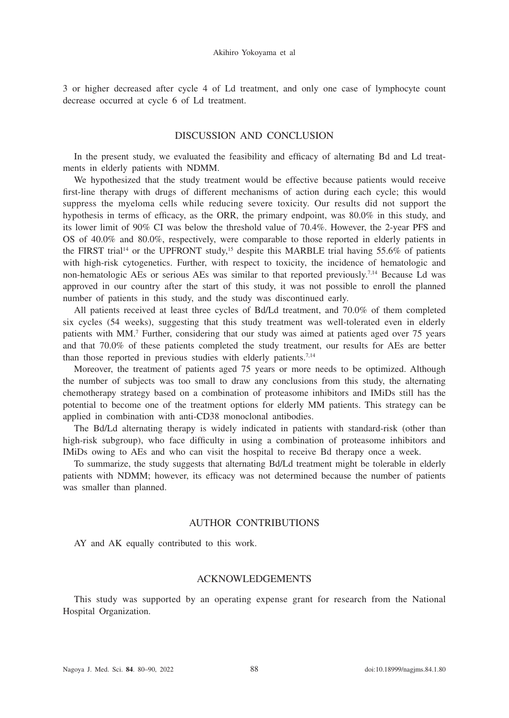3 or higher decreased after cycle 4 of Ld treatment, and only one case of lymphocyte count decrease occurred at cycle 6 of Ld treatment.

# DISCUSSION AND CONCLUSION

In the present study, we evaluated the feasibility and efficacy of alternating Bd and Ld treatments in elderly patients with NDMM.

We hypothesized that the study treatment would be effective because patients would receive first-line therapy with drugs of different mechanisms of action during each cycle; this would suppress the myeloma cells while reducing severe toxicity. Our results did not support the hypothesis in terms of efficacy, as the ORR, the primary endpoint, was 80.0% in this study, and its lower limit of 90% CI was below the threshold value of 70.4%. However, the 2-year PFS and OS of 40.0% and 80.0%, respectively, were comparable to those reported in elderly patients in the FIRST trial<sup>14</sup> or the UPFRONT study,<sup>15</sup> despite this MARBLE trial having 55.6% of patients with high-risk cytogenetics. Further, with respect to toxicity, the incidence of hematologic and non-hematologic AEs or serious AEs was similar to that reported previously.<sup>7,14</sup> Because Ld was approved in our country after the start of this study, it was not possible to enroll the planned number of patients in this study, and the study was discontinued early.

All patients received at least three cycles of Bd/Ld treatment, and 70.0% of them completed six cycles (54 weeks), suggesting that this study treatment was well-tolerated even in elderly patients with MM.<sup>7</sup> Further, considering that our study was aimed at patients aged over 75 years and that 70.0% of these patients completed the study treatment, our results for AEs are better than those reported in previous studies with elderly patients.<sup>7,14</sup>

Moreover, the treatment of patients aged 75 years or more needs to be optimized. Although the number of subjects was too small to draw any conclusions from this study, the alternating chemotherapy strategy based on a combination of proteasome inhibitors and IMiDs still has the potential to become one of the treatment options for elderly MM patients. This strategy can be applied in combination with anti-CD38 monoclonal antibodies.

The Bd/Ld alternating therapy is widely indicated in patients with standard-risk (other than high-risk subgroup), who face difficulty in using a combination of proteasome inhibitors and IMiDs owing to AEs and who can visit the hospital to receive Bd therapy once a week.

To summarize, the study suggests that alternating Bd/Ld treatment might be tolerable in elderly patients with NDMM; however, its efficacy was not determined because the number of patients was smaller than planned.

# AUTHOR CONTRIBUTIONS

AY and AK equally contributed to this work.

## ACKNOWLEDGEMENTS

This study was supported by an operating expense grant for research from the National Hospital Organization.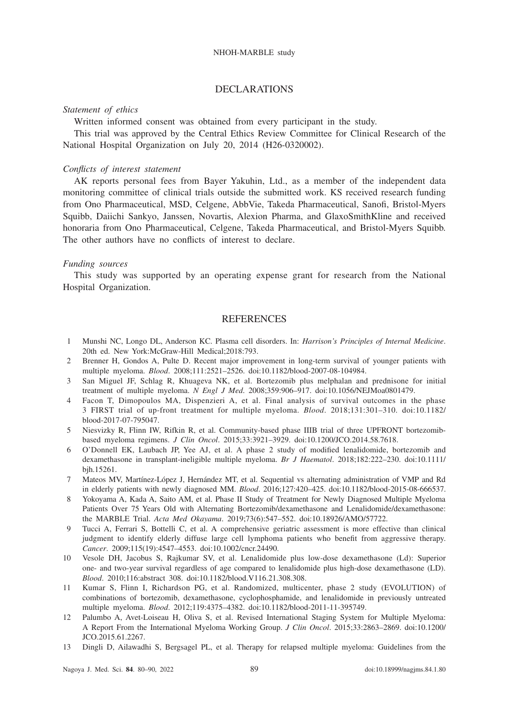## DECLAR ATIONS

### *Statement of ethics*

Written informed consent was obtained from every participant in the study.

This trial was approved by the Central Ethics Review Committee for Clinical Research of the National Hospital Organization on July 20, 2014 (H26-0320002).

#### *Conflicts of interest statement*

AK reports personal fees from Bayer Yakuhin, Ltd., as a member of the independent data monitoring committee of clinical trials outside the submitted work. KS received research funding from Ono Pharmaceutical, MSD, Celgene, AbbVie, Takeda Pharmaceutical, Sanofi, Bristol-Myers Squibb, Daiichi Sankyo, Janssen, Novartis, Alexion Pharma, and GlaxoSmithKline and received honoraria from Ono Pharmaceutical, Celgene, Takeda Pharmaceutical, and Bristol-Myers Squibb. The other authors have no conflicts of interest to declare.

## *Funding sources*

This study was supported by an operating expense grant for research from the National Hospital Organization.

# **REFERENCES**

- 1 Munshi NC, Longo DL, Anderson KC. Plasma cell disorders. In: *Harrison's Principles of Internal Medicine*. 20th ed. New York:McGraw-Hill Medical;2018:793.
- 2 Brenner H, Gondos A, Pulte D. Recent major improvement in long-term survival of younger patients with multiple myeloma. *Blood*. 2008;111:2521–2526. doi:10.1182/blood-2007-08-104984.
- 3 San Miguel JF, Schlag R, Khuageva NK, et al. Bortezomib plus melphalan and prednisone for initial treatment of multiple myeloma. *N Engl J Med*. 2008;359:906–917. doi:10.1056/NEJMoa0801479.
- 4 Facon T, Dimopoulos MA, Dispenzieri A, et al. Final analysis of survival outcomes in the phase 3 FIRST trial of up-front treatment for multiple myeloma. *Blood*. 2018;131:301–310. doi:10.1182/ blood-2017-07-795047.
- 5 Niesvizky R, Flinn IW, Rifkin R, et al. Community-based phase IIIB trial of three UPFRONT bortezomibbased myeloma regimens. *J Clin Oncol*. 2015;33:3921–3929. doi:10.1200/JCO.2014.58.7618.
- 6 O'Donnell EK, Laubach JP, Yee AJ, et al. A phase 2 study of modified lenalidomide, bortezomib and dexamethasone in transplant-ineligible multiple myeloma. *Br J Haematol*. 2018;182:222–230. doi:10.1111/ bjh.15261.
- 7 Mateos MV, Martínez-López J, Hernández MT, et al. Sequential vs alternating administration of VMP and Rd in elderly patients with newly diagnosed MM. *Blood*. 2016;127:420–425. doi:10.1182/blood-2015-08-666537.
- 8 Yokoyama A, Kada A, Saito AM, et al. Phase II Study of Treatment for Newly Diagnosed Multiple Myeloma Patients Over 75 Years Old with Alternating Bortezomib/dexamethasone and Lenalidomide/dexamethasone: the MARBLE Trial. *Acta Med Okayama*. 2019;73(6):547–552. doi:10.18926/AMO/57722.
- 9 Tucci A, Ferrari S, Bottelli C, et al. A comprehensive geriatric assessment is more effective than clinical judgment to identify elderly diffuse large cell lymphoma patients who benefit from aggressive therapy. *Cancer*. 2009;115(19):4547–4553. doi:10.1002/cncr.24490.
- 10 Vesole DH, Jacobus S, Rajkumar SV, et al. Lenalidomide plus low-dose dexamethasone (Ld): Superior one- and two-year survival regardless of age compared to lenalidomide plus high-dose dexamethasone (LD). *Blood*. 2010;116:abstract 308. doi:10.1182/blood.V116.21.308.308.
- 11 Kumar S, Flinn I, Richardson PG, et al. Randomized, multicenter, phase 2 study (EVOLUTION) of combinations of bortezomib, dexamethasone, cyclophosphamide, and lenalidomide in previously untreated multiple myeloma. *Blood*. 2012;119:4375–4382. doi:10.1182/blood-2011-11-395749.
- 12 Palumbo A, Avet-Loiseau H, Oliva S, et al. Revised International Staging System for Multiple Myeloma: A Report From the International Myeloma Working Group. *J Clin Oncol*. 2015;33:2863–2869. doi:10.1200/ JCO.2015.61.2267.
- 13 Dingli D, Ailawadhi S, Bergsagel PL, et al. Therapy for relapsed multiple myeloma: Guidelines from the